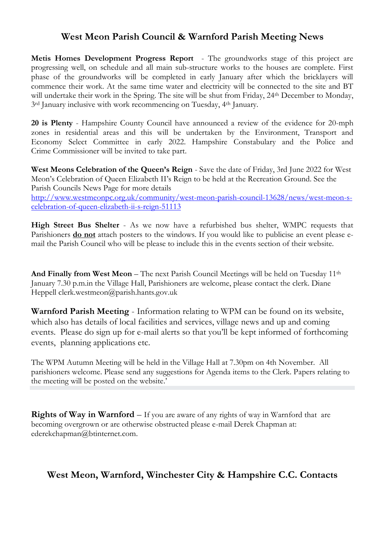## **West Meon Parish Council & Warnford Parish Meeting News**

**Metis Homes Development Progress Report** - The groundworks stage of this project are progressing well, on schedule and all main sub-structure works to the houses are complete. First phase of the groundworks will be completed in early January after which the bricklayers will commence their work. At the same time water and electricity will be connected to the site and BT will undertake their work in the Spring. The site will be shut from Friday, 24<sup>th</sup> December to Monday, 3<sup>rd</sup> January inclusive with work recommencing on Tuesday, 4<sup>th</sup> January.

**20 is Plenty** - Hampshire County Council have announced a review of the evidence for 20-mph zones in residential areas and this will be undertaken by the Environment, Transport and Economy Select Committee in early 2022. Hampshire Constabulary and the Police and Crime Commissioner will be invited to take part.

**West Meons Celebration of the Queen's Reign** - Save the date of Friday, 3rd June 2022 for West Meon's Celebration of Queen Elizabeth II's Reign to be held at the Recreation Ground. See the Parish Councils News Page for more details [http://www.westmeonpc.org.uk/community/west-meon-parish-council-13628/news/west-meon-s](http://www.westmeonpc.org.uk/community/west-meon-parish-council-13628/news/west-meon-s-celebration-of-queen-elizabeth-ii-s-reign-51113)[celebration-of-queen-elizabeth-ii-s-reign-51113](http://www.westmeonpc.org.uk/community/west-meon-parish-council-13628/news/west-meon-s-celebration-of-queen-elizabeth-ii-s-reign-51113)

**High Street Bus Shelter** - As we now have a refurbished bus shelter, WMPC requests that Parishioners **do not** attach posters to the windows. If you would like to publicise an event please email the Parish Council who will be please to include this in the events section of their website.

**And Finally from West Meon** – The next Parish Council Meetings will be held on Tuesday 11<sup>th</sup> January 7.30 p.m.in the Village Hall, Parishioners are welcome, please contact the clerk. Diane Heppell clerk.westmeon@parish.hants.gov.uk

**Warnford Parish Meeting** - Information relating to WPM can be found on its website, which also has details of local facilities and services, village news and up and coming events. Please do sign up for e-mail alerts so that you'll be kept informed of forthcoming events, planning applications etc.

The WPM Autumn Meeting will be held in the Village Hall at 7.30pm on 4th November. All parishioners welcome. Please send any suggestions for Agenda items to the Clerk. Papers relating to the meeting will be posted on the website.'

**Rights of Way in Warnford** – If you are aware of any rights of way in Warnford that are becoming overgrown or are otherwise obstructed please e-mail Derek Chapman at: ederekchapman@btinternet.com.

# **West Meon, Warnford, Winchester City & Hampshire C.C. Contacts**